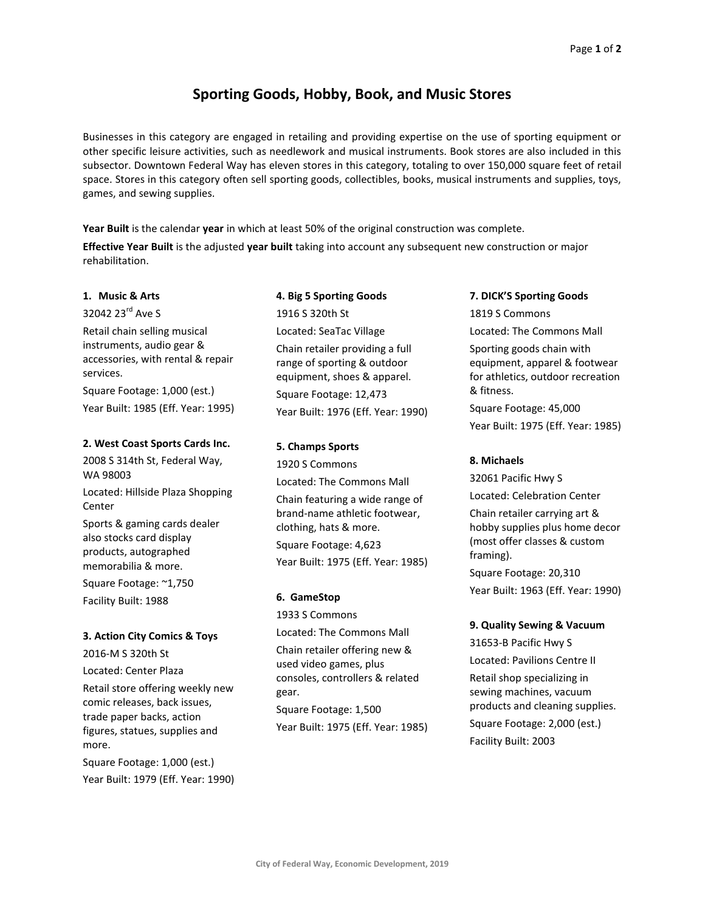# **Sporting Goods, Hobby, Book, and Music Stores**

Businesses in this category are engaged in retailing and providing expertise on the use of sporting equipment or other specific leisure activities, such as needlework and musical instruments. Book stores are also included in this subsector. Downtown Federal Way has eleven stores in this category, totaling to over 150,000 square feet of retail space. Stores in this category often sell sporting goods, collectibles, books, musical instruments and supplies, toys, games, and sewing supplies.

**Year Built** is the calendar **year** in which at least 50% of the original construction was complete.

**Effective Year Built** is the adjusted **year built** taking into account any subsequent new construction or major rehabilitation.

# **1. Music & Arts**

32042 23rd Ave S Retail chain selling musical instruments, audio gear & accessories, with rental & repair services. Square Footage: 1,000 (est.) Year Built: 1985 (Eff. Year: 1995)

## **2. West Coast Sports Cards Inc.**

2008 S 314th St, Federal Way, WA 98003 Located: Hillside Plaza Shopping

**Center** 

Sports & gaming cards dealer also stocks card display products, autographed memorabilia & more.

Square Footage: ~1,750 Facility Built: 1988

## **3. Action City Comics & Toys**

2016-M S 320th St

Located: Center Plaza

Retail store offering weekly new comic releases, back issues, trade paper backs, action figures, statues, supplies and more.

Square Footage: 1,000 (est.) Year Built: 1979 (Eff. Year: 1990)

# **4. Big 5 Sporting Goods** 1916 S 320th St

Located: SeaTac Village Chain retailer providing a full range of sporting & outdoor equipment, shoes & apparel. Square Footage: 12,473 Year Built: 1976 (Eff. Year: 1990)

## **5. Champs Sports**

1920 S Commons Located: The Commons Mall Chain featuring a wide range of brand-name athletic footwear, clothing, hats & more. Square Footage: 4,623 Year Built: 1975 (Eff. Year: 1985)

#### **6. GameStop**

1933 S Commons Located: The Commons Mall Chain retailer offering new & used video games, plus consoles, controllers & related gear. Square Footage: 1,500

Year Built: 1975 (Eff. Year: 1985)

# **7. DICK'S Sporting Goods**

1819 S Commons Located: The Commons Mall

Sporting goods chain with equipment, apparel & footwear for athletics, outdoor recreation & fitness.

Square Footage: 45,000 Year Built: 1975 (Eff. Year: 1985)

## **8. Michaels**

32061 Pacific Hwy S Located: Celebration Center Chain retailer carrying art & hobby supplies plus home decor (most offer classes & custom framing). Square Footage: 20,310 Year Built: 1963 (Eff. Year: 1990)

## **9. Quality Sewing & Vacuum**

31653-B Pacific Hwy S Located: Pavilions Centre II Retail shop specializing in sewing machines, vacuum products and cleaning supplies. Square Footage: 2,000 (est.) Facility Built: 2003